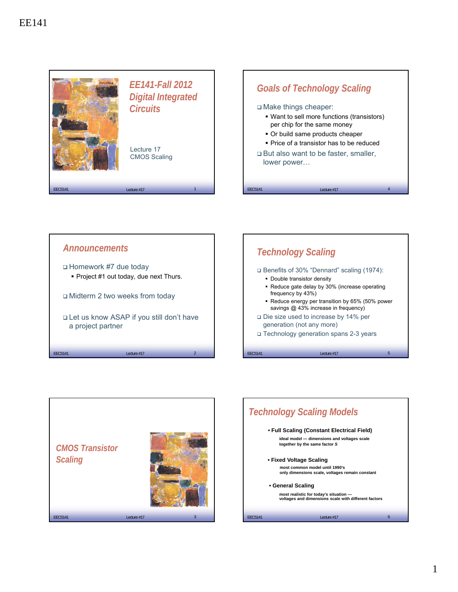





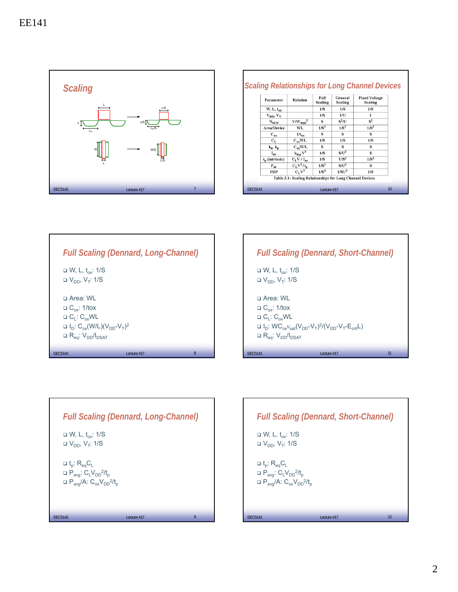

| Parameter           | Relation                                                  | Full<br>Scaling  | General<br>Scaling | <b>Fixed Voltage</b><br>Scaling |
|---------------------|-----------------------------------------------------------|------------------|--------------------|---------------------------------|
| $W, L, t_{ov}$      |                                                           | 1/S              | 1/S                | 1/S                             |
| $V_{DD}$ , $V_T$    |                                                           | 1/S              | 1/L                | $\mathbf{1}$                    |
| $N_{\rm SUB}$       | $V/W_{\text{depl}}^2$                                     | s                | $S^2/U$            | $S^2$                           |
| Area/Device         | WL                                                        | 1/S <sup>2</sup> | 1/S <sup>2</sup>   | $1/S^2$                         |
| $C_{ox}$            | $1/t_{\rm ev}$                                            | s                | s                  | s                               |
| $C_{L}$             | $C_{\alpha x} WL$                                         | 1/S              | 1/S                | 1/S                             |
| $k_p, k_p$          | $C_{\alpha x}$ W/L                                        | s                | s                  | s                               |
| $I_{av}$            | $k_{n,p}$ $V^2$                                           | 1/S              | $S/U^2$            | S                               |
| $t_{p}$ (intrinsic) | $C_L V / I_{av}$                                          | 1/S              | $U/S^2$            | 1/S <sup>2</sup>                |
| $P_{ov}$            | $C_L V^2/t_p$                                             | 1/S <sup>2</sup> | $S/U^3$            | s                               |
| <b>PDP</b>          | $C_VV^2$                                                  | 1/S <sup>3</sup> | 1/SU <sup>2</sup>  | 1/S                             |
|                     | Table 3.1: Scaling Relationships for Long Channel Devices |                  |                    |                                 |

|                                                                                                                                                                                                                        | <b>Full Scaling (Dennard, Long-Channel)</b> |   |
|------------------------------------------------------------------------------------------------------------------------------------------------------------------------------------------------------------------------|---------------------------------------------|---|
| $\Box$ W, L, t <sub>ox</sub> : 1/S<br>$\Box$ V <sub>DD</sub> , V <sub>T</sub> : 1/S                                                                                                                                    |                                             |   |
| ⊟ Area: WI<br>$\Box$ C <sub>ox</sub> : 1/tox<br>$\Box C_1$ : $C_{ox}$ WL<br>$\Box$ I <sub>D</sub> : C <sub>ox</sub> (W/L)(V <sub>DD</sub> -V <sub>T</sub> ) <sup>2</sup><br>$\Box$ R <sub>eg</sub> : $V_{DD}/I_{DSAT}$ |                                             |   |
| <b>FFCS141</b>                                                                                                                                                                                                         | Lecture #17                                 | 8 |

|                                                                                                       | <b>Full Scaling (Dennard, Short-Channel)</b>                                                                                            |    |
|-------------------------------------------------------------------------------------------------------|-----------------------------------------------------------------------------------------------------------------------------------------|----|
| $\Box$ W, L, t., : 1/S<br>$\Box$ V <sub>DD</sub> , V <sub>T</sub> : 1/S                               |                                                                                                                                         |    |
| ⊟ Area: WI<br>$\Box$ C <sub>ox</sub> : 1/tox<br>$\Box C_1$ : $C_{ox}$ WL<br>$R_{eq}: V_{DD}/I_{DSAT}$ | $\Box$ I <sub>D</sub> : WC <sub>ox</sub> $v_{\text{sat}}(V_{\text{DD}}-V_{\text{T}})^{2}/(V_{\text{DD}}-V_{\text{T}}-E_{\text{crit}}L)$ |    |
| <b>FFCS141</b>                                                                                        | Lecture #17                                                                                                                             | 11 |



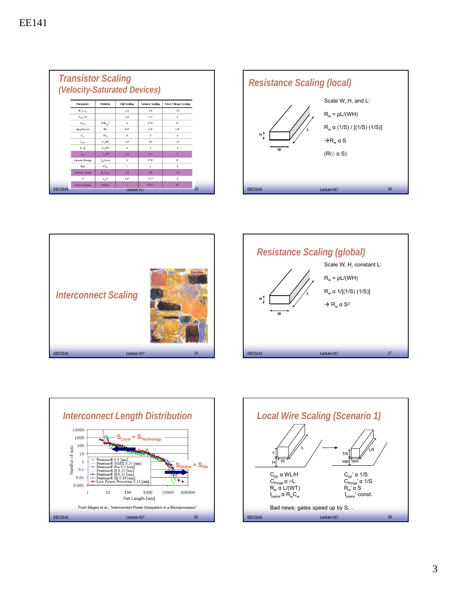|                | <b>Transistor Scaling</b><br>(Velocity-Saturated Devices)    |                                      |                     |                        |                              |    |  |  |  |
|----------------|--------------------------------------------------------------|--------------------------------------|---------------------|------------------------|------------------------------|----|--|--|--|
|                | Parameter                                                    | <b>Relation</b>                      | <b>Full Scaling</b> | <b>General Scaling</b> | <b>Fixed-Voltage Scaling</b> |    |  |  |  |
|                | $W_L$ , $t_{\text{cor}}$                                     |                                      | 1/S                 | 1/S                    | 1/S                          |    |  |  |  |
|                | $V_{DD}$ $V_T$                                               |                                      | 1/S                 | 1/17                   | $\mathbf{I}$                 |    |  |  |  |
|                | $N_{\text{CIR}}$                                             | $V/W_{\rm deel}^2$                   | $\boldsymbol{S}$    | $S^2/II$               | $S^2$                        |    |  |  |  |
|                | Area/Device                                                  | W L                                  | $1/S^2$             | $1/S^2$                | $1/S^2$                      |    |  |  |  |
|                | $C_{\alpha\nu}$                                              | $1/t_{av}$                           | S                   | S                      | S                            |    |  |  |  |
|                | $C_{\text{gate}}$                                            | $C_{\alpha}$ WL                      | 1/S                 | 1/S                    | 1/S                          |    |  |  |  |
|                | $k_{\rm\scriptscriptstyle 1P}$ $k_{\rm\scriptscriptstyle 2}$ | $C_{co}W/L$                          | S                   | $\overline{S}$         | $\boldsymbol{S}$             |    |  |  |  |
|                | $I_{\rm sat}$                                                | $C_{\infty}WV$                       | 1/S                 | 1/U                    | т                            |    |  |  |  |
|                | <b>Current Density</b>                                       | L.Area                               | $\boldsymbol{S}$    | $S^2/U$                | $S^2$                        |    |  |  |  |
|                | Ron                                                          | $V/I_{\text{ext}}$                   | $\mathbf{I}$        | $\mathbf{1}$           | I.                           |    |  |  |  |
|                | <b>Intrinsic Delay</b>                                       | $R_{\alpha}C_{\alpha\alpha\epsilon}$ | 1/S                 | 1/S                    | 1/S                          |    |  |  |  |
|                | $\boldsymbol{p}$                                             | $I_{\text{var}}V$                    | $1/S^2$             | $1/L^2$                | 1                            |    |  |  |  |
|                | <b>Power Density</b>                                         | P/Area                               | т                   | $S^2/L^2$              | $S^2$                        | 13 |  |  |  |
| <b>EECS141</b> | Lecture $#1/$                                                |                                      |                     |                        |                              |    |  |  |  |